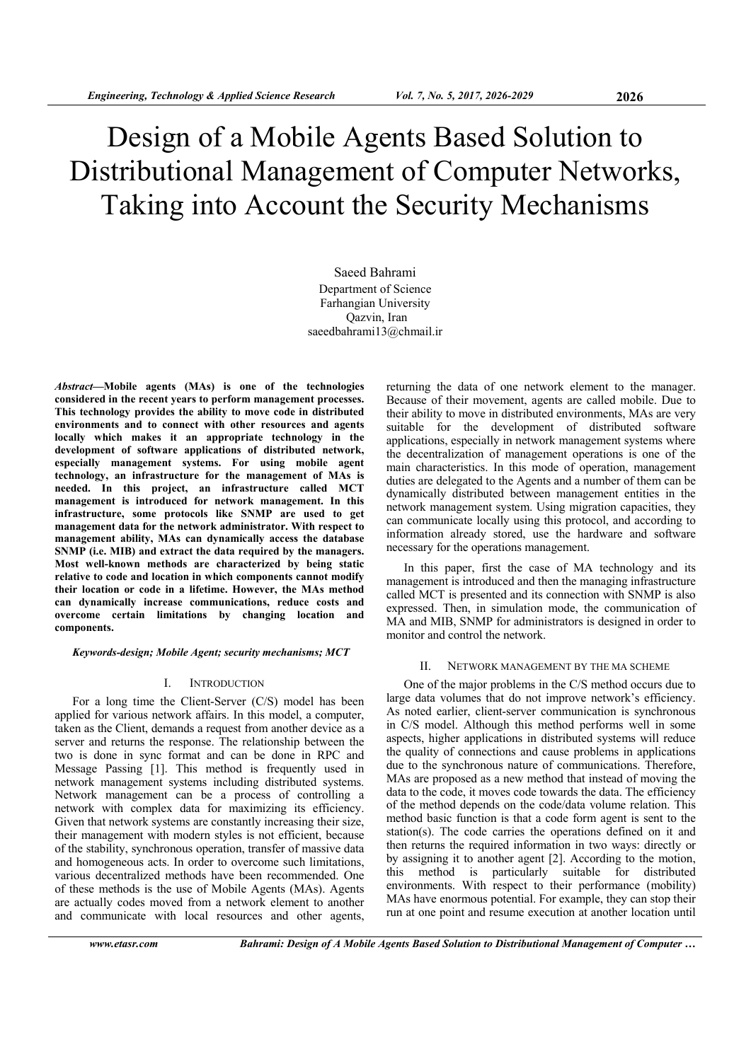# Design of a Mobile Agents Based Solution to Distributional Management of Computer Networks, Taking into Account the Security Mechanisms

Saeed Bahrami Department of Science Farhangian University Qazvin, Iran saeedbahrami13@chmail.ir

*Abstract***—Mobile agents (MAs) is one of the technologies considered in the recent years to perform management processes. This technology provides the ability to move code in distributed environments and to connect with other resources and agents locally which makes it an appropriate technology in the development of software applications of distributed network, especially management systems. For using mobile agent technology, an infrastructure for the management of MAs is needed. In this project, an infrastructure called MCT management is introduced for network management. In this infrastructure, some protocols like SNMP are used to get management data for the network administrator. With respect to management ability, MAs can dynamically access the database SNMP (i.e. MIB) and extract the data required by the managers. Most well-known methods are characterized by being static relative to code and location in which components cannot modify their location or code in a lifetime. However, the MAs method can dynamically increase communications, reduce costs and overcome certain limitations by changing location and components.** 

*Keywords-design; Mobile Agent; security mechanisms; MCT* 

#### I. INTRODUCTION

For a long time the Client-Server (C/S) model has been applied for various network affairs. In this model, a computer, taken as the Client, demands a request from another device as a server and returns the response. The relationship between the two is done in sync format and can be done in RPC and Message Passing [1]. This method is frequently used in network management systems including distributed systems. Network management can be a process of controlling a network with complex data for maximizing its efficiency. Given that network systems are constantly increasing their size, their management with modern styles is not efficient, because of the stability, synchronous operation, transfer of massive data and homogeneous acts. In order to overcome such limitations, various decentralized methods have been recommended. One of these methods is the use of Mobile Agents (MAs). Agents are actually codes moved from a network element to another and communicate with local resources and other agents,

returning the data of one network element to the manager. Because of their movement, agents are called mobile. Due to their ability to move in distributed environments, MAs are very suitable for the development of distributed software applications, especially in network management systems where the decentralization of management operations is one of the main characteristics. In this mode of operation, management duties are delegated to the Agents and a number of them can be dynamically distributed between management entities in the network management system. Using migration capacities, they can communicate locally using this protocol, and according to information already stored, use the hardware and software necessary for the operations management.

In this paper, first the case of MA technology and its management is introduced and then the managing infrastructure called MCT is presented and its connection with SNMP is also expressed. Then, in simulation mode, the communication of MA and MIB, SNMP for administrators is designed in order to monitor and control the network.

#### II. NETWORK MANAGEMENT BY THE MA SCHEME

One of the major problems in the C/S method occurs due to large data volumes that do not improve network's efficiency. As noted earlier, client-server communication is synchronous in C/S model. Although this method performs well in some aspects, higher applications in distributed systems will reduce the quality of connections and cause problems in applications due to the synchronous nature of communications. Therefore, MAs are proposed as a new method that instead of moving the data to the code, it moves code towards the data. The efficiency of the method depends on the code/data volume relation. This method basic function is that a code form agent is sent to the station(s). The code carries the operations defined on it and then returns the required information in two ways: directly or by assigning it to another agent [2]. According to the motion, this method is particularly suitable for distributed environments. With respect to their performance (mobility) MAs have enormous potential. For example, they can stop their run at one point and resume execution at another location until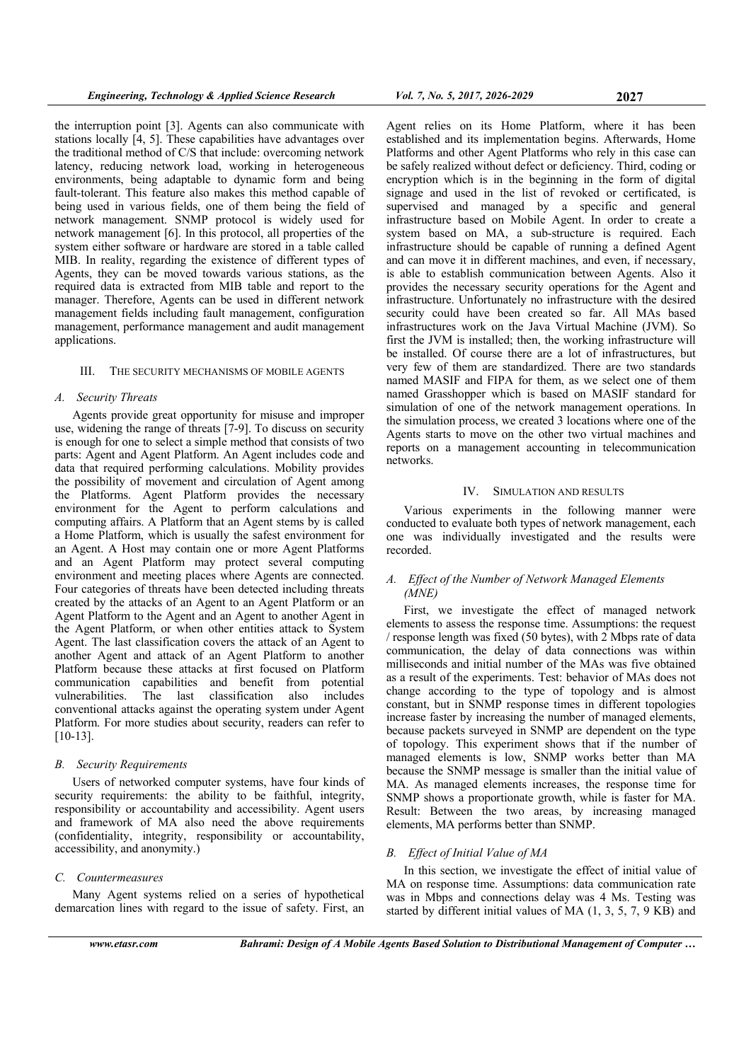the interruption point [3]. Agents can also communicate with stations locally [4, 5]. These capabilities have advantages over the traditional method of C/S that include: overcoming network latency, reducing network load, working in heterogeneous environments, being adaptable to dynamic form and being fault-tolerant. This feature also makes this method capable of being used in various fields, one of them being the field of network management. SNMP protocol is widely used for network management [6]. In this protocol, all properties of the system either software or hardware are stored in a table called MIB. In reality, regarding the existence of different types of Agents, they can be moved towards various stations, as the required data is extracted from MIB table and report to the manager. Therefore, Agents can be used in different network management fields including fault management, configuration management, performance management and audit management applications.

# III. THE SECURITY MECHANISMS OF MOBILE AGENTS

#### *A. Security Threats*

Agents provide great opportunity for misuse and improper use, widening the range of threats [7-9]. To discuss on security is enough for one to select a simple method that consists of two parts: Agent and Agent Platform. An Agent includes code and data that required performing calculations. Mobility provides the possibility of movement and circulation of Agent among the Platforms. Agent Platform provides the necessary environment for the Agent to perform calculations and computing affairs. A Platform that an Agent stems by is called a Home Platform, which is usually the safest environment for an Agent. A Host may contain one or more Agent Platforms and an Agent Platform may protect several computing environment and meeting places where Agents are connected. Four categories of threats have been detected including threats created by the attacks of an Agent to an Agent Platform or an Agent Platform to the Agent and an Agent to another Agent in the Agent Platform, or when other entities attack to System Agent. The last classification covers the attack of an Agent to another Agent and attack of an Agent Platform to another Platform because these attacks at first focused on Platform communication capabilities and benefit from potential vulnerabilities. The last classification also includes conventional attacks against the operating system under Agent Platform. For more studies about security, readers can refer to [10-13].

# *B. Security Requirements*

Users of networked computer systems, have four kinds of security requirements: the ability to be faithful, integrity, responsibility or accountability and accessibility. Agent users and framework of MA also need the above requirements (confidentiality, integrity, responsibility or accountability, accessibility, and anonymity.)

#### *C. Countermeasures*

Many Agent systems relied on a series of hypothetical demarcation lines with regard to the issue of safety. First, an

Agent relies on its Home Platform, where it has been established and its implementation begins. Afterwards, Home Platforms and other Agent Platforms who rely in this case can be safely realized without defect or deficiency. Third, coding or encryption which is in the beginning in the form of digital signage and used in the list of revoked or certificated, is supervised and managed by a specific and general infrastructure based on Mobile Agent. In order to create a system based on MA, a sub-structure is required. Each infrastructure should be capable of running a defined Agent and can move it in different machines, and even, if necessary, is able to establish communication between Agents. Also it provides the necessary security operations for the Agent and infrastructure. Unfortunately no infrastructure with the desired security could have been created so far. All MAs based infrastructures work on the Java Virtual Machine (JVM). So first the JVM is installed; then, the working infrastructure will be installed. Of course there are a lot of infrastructures, but very few of them are standardized. There are two standards named MASIF and FIPA for them, as we select one of them named Grasshopper which is based on MASIF standard for simulation of one of the network management operations. In the simulation process, we created 3 locations where one of the Agents starts to move on the other two virtual machines and reports on a management accounting in telecommunication networks.

# IV. SIMULATION AND RESULTS

Various experiments in the following manner were conducted to evaluate both types of network management, each one was individually investigated and the results were recorded.

# *A. Effect of the Number of Network Managed Elements (MNE)*

First, we investigate the effect of managed network elements to assess the response time. Assumptions: the request / response length was fixed (50 bytes), with 2 Mbps rate of data communication, the delay of data connections was within milliseconds and initial number of the MAs was five obtained as a result of the experiments. Test: behavior of MAs does not change according to the type of topology and is almost constant, but in SNMP response times in different topologies increase faster by increasing the number of managed elements, because packets surveyed in SNMP are dependent on the type of topology. This experiment shows that if the number of managed elements is low, SNMP works better than MA because the SNMP message is smaller than the initial value of MA. As managed elements increases, the response time for SNMP shows a proportionate growth, while is faster for MA. Result: Between the two areas, by increasing managed elements, MA performs better than SNMP.

#### *B. Effect of Initial Value of MA*

In this section, we investigate the effect of initial value of MA on response time. Assumptions: data communication rate was in Mbps and connections delay was 4 Ms. Testing was started by different initial values of MA (1, 3, 5, 7, 9 KB) and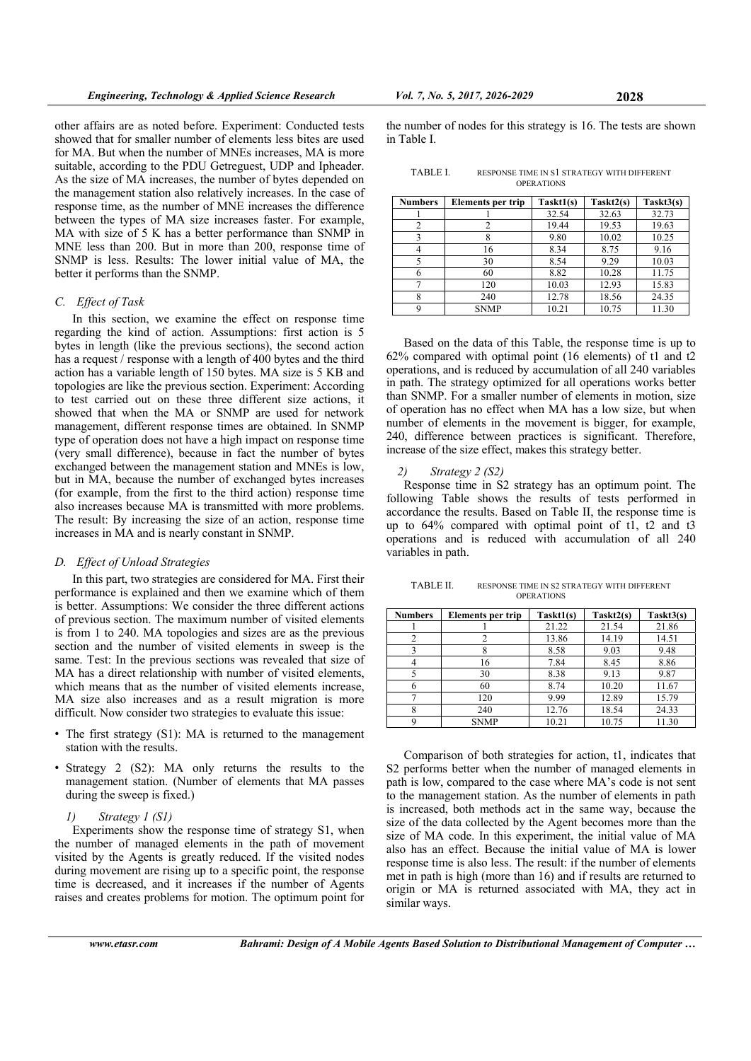other affairs are as noted before. Experiment: Conducted tests showed that for smaller number of elements less bites are used for MA. But when the number of MNEs increases, MA is more suitable, according to the PDU Getreguest, UDP and Ipheader. As the size of MA increases, the number of bytes depended on the management station also relatively increases. In the case of response time, as the number of MNE increases the difference between the types of MA size increases faster. For example, MA with size of 5 K has a better performance than SNMP in MNE less than 200. But in more than 200, response time of SNMP is less. Results: The lower initial value of MA, the better it performs than the SNMP.

# *C. Effect of Task*

In this section, we examine the effect on response time regarding the kind of action. Assumptions: first action is 5 bytes in length (like the previous sections), the second action has a request / response with a length of 400 bytes and the third action has a variable length of 150 bytes. MA size is 5 KB and topologies are like the previous section. Experiment: According to test carried out on these three different size actions, it showed that when the MA or SNMP are used for network management, different response times are obtained. In SNMP type of operation does not have a high impact on response time (very small difference), because in fact the number of bytes exchanged between the management station and MNEs is low, but in MA, because the number of exchanged bytes increases (for example, from the first to the third action) response time also increases because MA is transmitted with more problems. The result: By increasing the size of an action, response time increases in MA and is nearly constant in SNMP.

#### *D. Effect of Unload Strategies*

In this part, two strategies are considered for MA. First their performance is explained and then we examine which of them is better. Assumptions: We consider the three different actions of previous section. The maximum number of visited elements is from 1 to 240. MA topologies and sizes are as the previous section and the number of visited elements in sweep is the same. Test: In the previous sections was revealed that size of MA has a direct relationship with number of visited elements, which means that as the number of visited elements increase, MA size also increases and as a result migration is more difficult. Now consider two strategies to evaluate this issue:

- The first strategy  $(S1)$ : MA is returned to the management station with the results.
- Strategy 2 (S2): MA only returns the results to the management station. (Number of elements that MA passes during the sweep is fixed.)
	- *1) Strategy 1 (S1)*

Experiments show the response time of strategy S1, when the number of managed elements in the path of movement visited by the Agents is greatly reduced. If the visited nodes during movement are rising up to a specific point, the response time is decreased, and it increases if the number of Agents raises and creates problems for motion. The optimum point for

the number of nodes for this strategy is 16. The tests are shown in Table I.

| TABLE I. | RESPONSE TIME IN S1 STRATEGY WITH DIFFERENT |
|----------|---------------------------------------------|
|          | <b>OPERATIONS</b>                           |

| <b>Numbers</b> | Elements per trip | Task1(s) | Task <sub>2(s)</sub> | Task13(s) |
|----------------|-------------------|----------|----------------------|-----------|
|                |                   | 32.54    | 32.63                | 32.73     |
| 2              |                   | 19.44    | 19.53                | 19.63     |
| 3              |                   | 9.80     | 10.02                | 10.25     |
|                | 16                | 8.34     | 8.75                 | 9.16      |
| 5              | 30                | 8.54     | 9.29                 | 10.03     |
| 6              | 60                | 8.82     | 10.28                | 11.75     |
|                | 120               | 10.03    | 12.93                | 15.83     |
| 8              | 240               | 12.78    | 18.56                | 24.35     |
| 9              | <b>SNMP</b>       | 10.21    | 10.75                | 11.30     |

Based on the data of this Table, the response time is up to 62% compared with optimal point (16 elements) of t1 and t2 operations, and is reduced by accumulation of all 240 variables in path. The strategy optimized for all operations works better than SNMP. For a smaller number of elements in motion, size of operation has no effect when MA has a low size, but when number of elements in the movement is bigger, for example, 240, difference between practices is significant. Therefore, increase of the size effect, makes this strategy better.

#### *2) Strategy 2 (S2)*

Response time in S2 strategy has an optimum point. The following Table shows the results of tests performed in accordance the results. Based on Table II, the response time is up to 64% compared with optimal point of t1, t2 and t3 operations and is reduced with accumulation of all 240 variables in path.

| TABLE II. | RESPONSE TIME IN S2 STRATEGY WITH DIFFERENT |
|-----------|---------------------------------------------|
|           | <b>OPERATIONS</b>                           |

| <b>Numbers</b> | Elements per trip | Task1(s) | Task <sub>2(s)</sub> | Task13(s) |
|----------------|-------------------|----------|----------------------|-----------|
|                |                   | 21.22    | 21.54                | 21.86     |
|                |                   | 13.86    | 14.19                | 14.51     |
|                |                   | 8.58     | 9.03                 | 9.48      |
|                | 16                | 7.84     | 8.45                 | 8.86      |
|                | 30                | 8.38     | 9.13                 | 9.87      |
| 6              | 60                | 8.74     | 10.20                | 11.67     |
|                | 120               | 9.99     | 12.89                | 15.79     |
| 8              | 240               | 12.76    | 18.54                | 24.33     |
| q              | <b>SNMP</b>       | 10.21    | 10.75                | 11.30     |

Comparison of both strategies for action, t1, indicates that S2 performs better when the number of managed elements in path is low, compared to the case where MA's code is not sent to the management station. As the number of elements in path is increased, both methods act in the same way, because the size of the data collected by the Agent becomes more than the size of MA code. In this experiment, the initial value of MA also has an effect. Because the initial value of MA is lower response time is also less. The result: if the number of elements met in path is high (more than 16) and if results are returned to origin or MA is returned associated with MA, they act in similar ways.